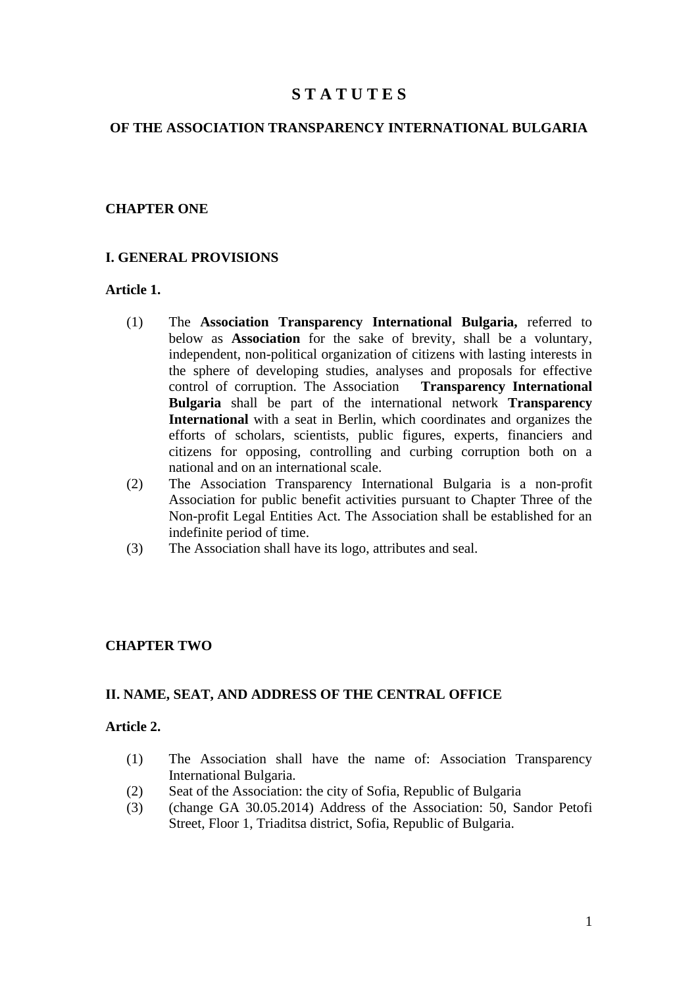# **S T A T U T E S**

## **OF THE ASSOCIATION TRANSPARENCY INTERNATIONAL BULGARIA**

## **CHAPTER ONE**

#### **І. GENERAL PROVISIONS**

#### **Article 1.**

- (1) The **Association Transparency International Bulgaria,** referred to below as **Association** for the sake of brevity, shall be a voluntary, independent, non-political organization of citizens with lasting interests in the sphere of developing studies, analyses and proposals for effective control of corruption. The Association **Transparency International Bulgaria** shall be part of the international network **Transparency International** with a seat in Berlin, which coordinates and organizes the efforts of scholars, scientists, public figures, experts, financiers and citizens for opposing, controlling and curbing corruption both on a national and on an international scale.
- (2) The Association Transparency International Bulgaria is a non-profit Association for public benefit activities pursuant to Chapter Three of the Non-profit Legal Entities Act. The Association shall be established for an indefinite period of time.
- (3) The Association shall have its logo, attributes and seal.

## **CHAPTER TWO**

#### **ІІ. NAME, SEAT, AND ADDRESS OF THE CENTRAL OFFICE**

## **Article 2.**

- (1) The Association shall have the name of: Association Transparency International Bulgaria.
- (2) Seat of the Association: the city of Sofia, Republic of Bulgaria
- (3) (change GA 30.05.2014) Address of the Association: 50, Sandor Petofi Street, Floor 1, Triaditsa district, Sofia, Republic of Bulgaria.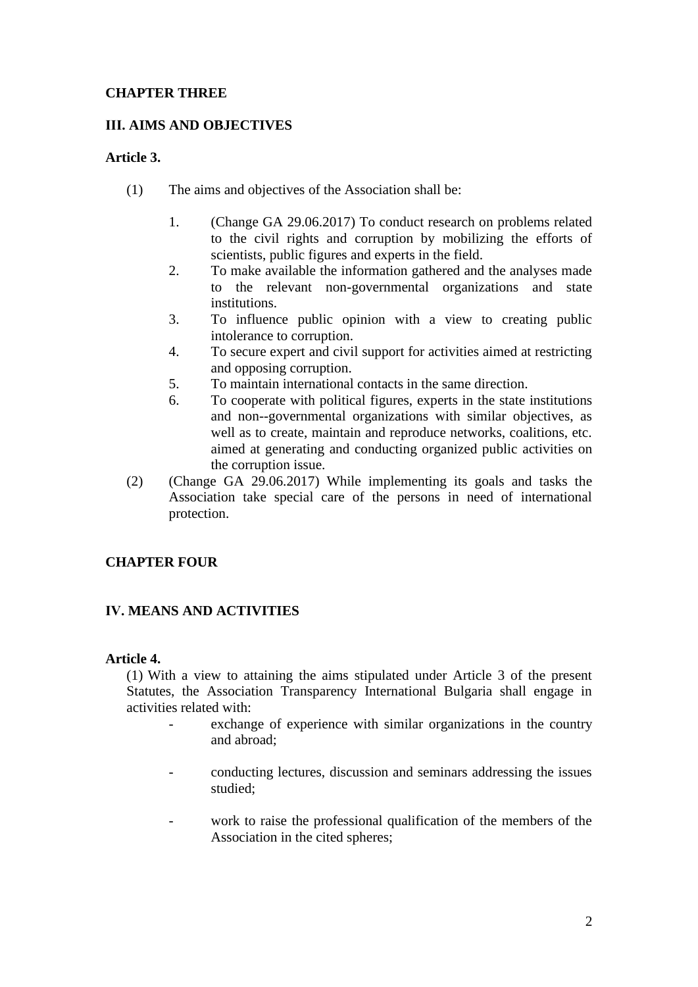# **CHAPTER THREE**

# **ІІІ. AIMS AND OBJECTIVES**

## **Article 3.**

- (1) The aims and objectives of the Association shall be:
	- 1. (Change GA 29.06.2017) To conduct research on problems related to the civil rights and corruption by mobilizing the efforts of scientists, public figures and experts in the field.
	- 2. To make available the information gathered and the analyses made to the relevant non-governmental organizations and state institutions.
	- 3. To influence public opinion with a view to creating public intolerance to corruption.
	- 4. To secure expert and civil support for activities aimed at restricting and opposing corruption.
	- 5. To maintain international contacts in the same direction.
	- 6. To cooperate with political figures, experts in the state institutions and non--governmental organizations with similar objectives, as well as to create, maintain and reproduce networks, coalitions, etc. aimed at generating and conducting organized public activities on the corruption issue.
- (2) (Change GA 29.06.2017) While implementing its goals and tasks the Association take special care of the persons in need of international protection.

# **CHAPTER FOUR**

# **ІV. MEANS AND ACTIVITIES**

## **Article 4.**

(1) With a view to attaining the aims stipulated under Article 3 of the present Statutes, the Association Transparency International Bulgaria shall engage in activities related with:

- exchange of experience with similar organizations in the country and abroad;
- conducting lectures, discussion and seminars addressing the issues studied;
- work to raise the professional qualification of the members of the Association in the cited spheres;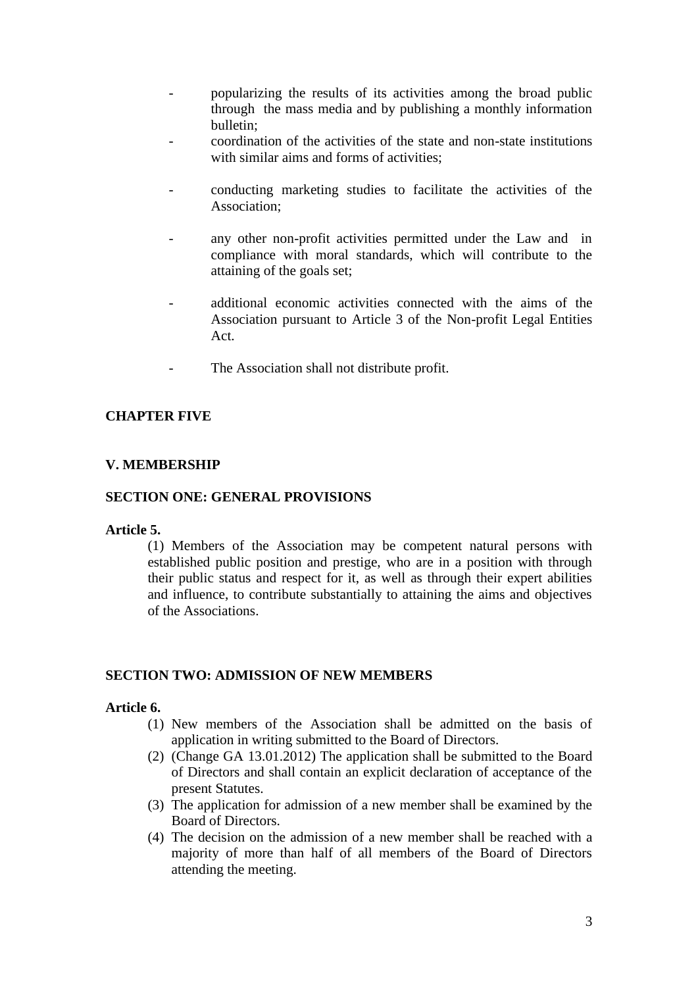- popularizing the results of its activities among the broad public through the mass media and by publishing a monthly information bulletin;
- coordination of the activities of the state and non-state institutions with similar aims and forms of activities:
- conducting marketing studies to facilitate the activities of the Association;
- any other non-profit activities permitted under the Law and in compliance with moral standards, which will contribute to the attaining of the goals set;
- additional economic activities connected with the aims of the Association pursuant to Article 3 of the Non-profit Legal Entities Act.
- The Association shall not distribute profit.

# **CHAPTER FIVE**

# **V. MEMBERSHIP**

## **SECTION ONE: GENERAL PROVISIONS**

#### **Article 5.**

(1) Members of the Association may be competent natural persons with established public position and prestige, who are in a position with through their public status and respect for it, as well as through their expert abilities and influence, to contribute substantially to attaining the aims and objectives of the Associations.

#### **SECTION TWO: ADMISSION OF NEW MEMBERS**

#### **Article 6.**

- (1) New members of the Association shall be admitted on the basis of application in writing submitted to the Board of Directors.
- (2) (Change GA 13.01.2012) The application shall be submitted to the Board of Directors and shall contain an explicit declaration of acceptance of the present Statutes.
- (3) The application for admission of a new member shall be examined by the Board of Directors.
- (4) The decision on the admission of a new member shall be reached with a majority of more than half of all members of the Board of Directors attending the meeting.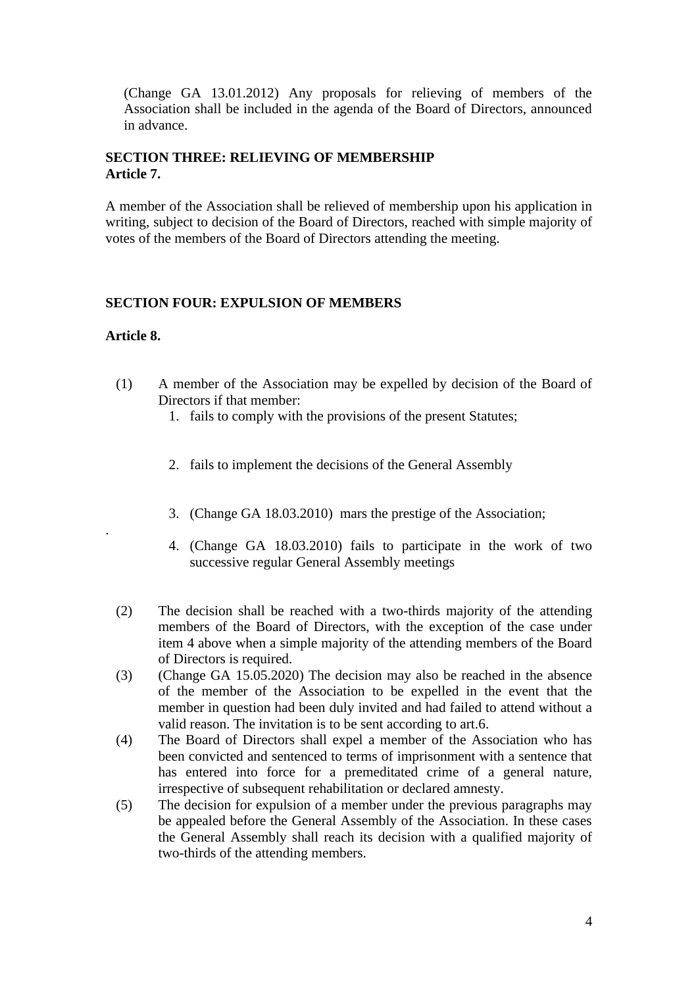(Change GA 13.01.2012) Any proposals for relieving of members of the Association shall be included in the agenda of the Board of Directors, announced in advance.

## **SECTION THREE: RELIEVING OF MEMBERSHIP Article 7.**

A member of the Association shall be relieved of membership upon his application in writing, subject to decision of the Board of Directors, reached with simple majority of votes of the members of the Board of Directors attending the meeting.

## **SECTION FOUR: EXPULSION OF MEMBERS**

#### **Article 8.**

.

- (1) A member of the Association may be expelled by decision of the Board of Directors if that member:
	- 1. fails to comply with the provisions of the present Statutes;
	- 2. fails to implement the decisions of the General Assembly
	- 3. (Change GA 18.03.2010) mars the prestige of the Association;
	- 4. (Change GA 18.03.2010) fails to participate in the work of two successive regular General Assembly meetings
- (2) The decision shall be reached with a two-thirds majority of the attending members of the Board of Directors, with the exception of the case under item 4 above when a simple majority of the attending members of the Board of Directors is required.
- (3) (Change GA 15.05.2020) The decision may also be reached in the absence of the member of the Association to be expelled in the event that the member in question had been duly invited and had failed to attend without a valid reason. The invitation is to be sent according to art.6.
- (4) The Board of Directors shall expel a member of the Association who has been convicted and sentenced to terms of imprisonment with a sentence that has entered into force for a premeditated crime of a general nature, irrespective of subsequent rehabilitation or declared amnesty.
- (5) The decision for expulsion of a member under the previous paragraphs may be appealed before the General Assembly of the Association. In these cases the General Assembly shall reach its decision with a qualified majority of two-thirds of the attending members.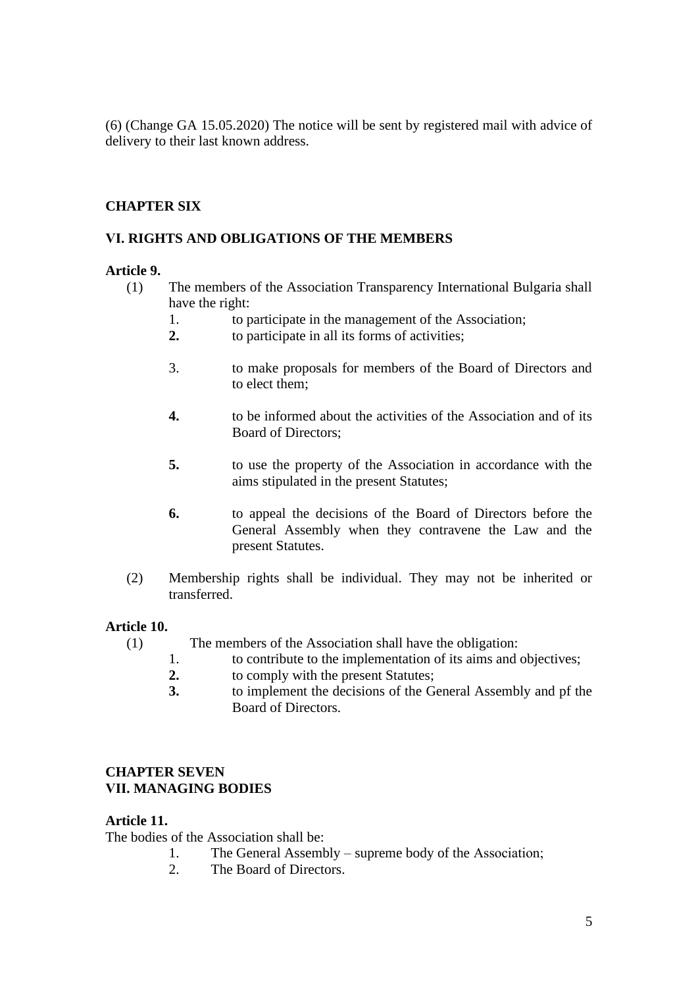(6) (Change GA 15.05.2020) The notice will be sent by registered mail with advice of delivery to their last known address.

## **CHAPTER SIX**

## **VІ. RIGHTS AND OBLIGATIONS OF THE MEMBERS**

#### **Article 9.**

- (1) The members of the Association Transparency International Bulgaria shall have the right:
	- 1. to participate in the management of the Association;
	- **2.** to participate in all its forms of activities;
	- 3. to make proposals for members of the Board of Directors and to elect them;
	- **4.** to be informed about the activities of the Association and of its Board of Directors;
	- **5.** to use the property of the Association in accordance with the aims stipulated in the present Statutes;
	- **6.** to appeal the decisions of the Board of Directors before the General Assembly when they contravene the Law and the present Statutes.
- (2) Membership rights shall be individual. They may not be inherited or transferred.

## **Article 10.**

- (1) The members of the Association shall have the obligation:
	- 1. to contribute to the implementation of its aims and objectives;
	- **2.** to comply with the present Statutes;
	- **3.** to implement the decisions of the General Assembly and pf the Board of Directors.

## **CHAPTER SEVEN VІІ. MANAGING BODIES**

## **Article 11.**

The bodies of the Association shall be:

- 1. The General Assembly supreme body of the Аssociation;
- 2. The Board of Directors.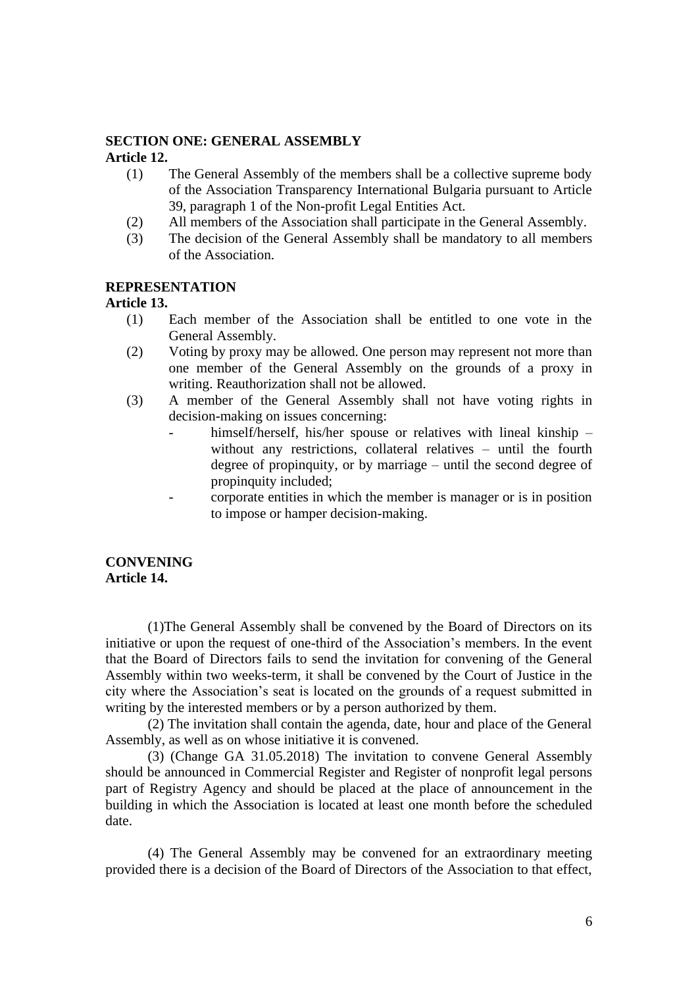### **SECTION ONE: GENERAL ASSEMBLY**

**Article 12.**

- (1) The General Assembly of the members shall be a collective supreme body of the Association Transparency International Bulgaria pursuant to Article 39, paragraph 1 of the Non-profit Legal Entities Act.
- (2) All members of the Association shall participate in the General Assembly.
- (3) The decision of the General Assembly shall be mandatory to all members of the Association.

#### **REPRESENTATION**

**Article 13.**

- (1) Each member of the Association shall be entitled to one vote in the General Assembly.
- (2) Voting by proxy may be allowed. One person may represent not more than one member of the General Assembly on the grounds of a proxy in writing. Reauthorization shall not be allowed.
- (3) A member of the General Assembly shall not have voting rights in decision-making on issues concerning:
	- himself/herself, his/her spouse or relatives with lineal kinship without any restrictions, collateral relatives – until the fourth degree of propinquity, or by marriage – until the second degree of propinquity included;
	- corporate entities in which the member is manager or is in position to impose or hamper decision-making.

#### **CONVENING Article 14.**

(1)The General Assembly shall be convened by the Board of Directors on its initiative or upon the request of one-third of the Association's members. In the event that the Board of Directors fails to send the invitation for convening of the General Assembly within two weeks-term, it shall be convened by the Court of Justice in the city where the Association's seat is located on the grounds of a request submitted in writing by the interested members or by a person authorized by them.

(2) The invitation shall contain the agenda, date, hour and place of the General Assembly, as well as on whose initiative it is convened.

(3) (Change GA 31.05.2018) The invitation to convene General Assembly should be announced in Commercial Register and Register of nonprofit legal persons part of Registry Agency and should be placed at the place of announcement in the building in which the Association is located at least one month before the scheduled date.

(4) The General Assembly may be convened for an extraordinary meeting provided there is a decision of the Board of Directors of the Association to that effect,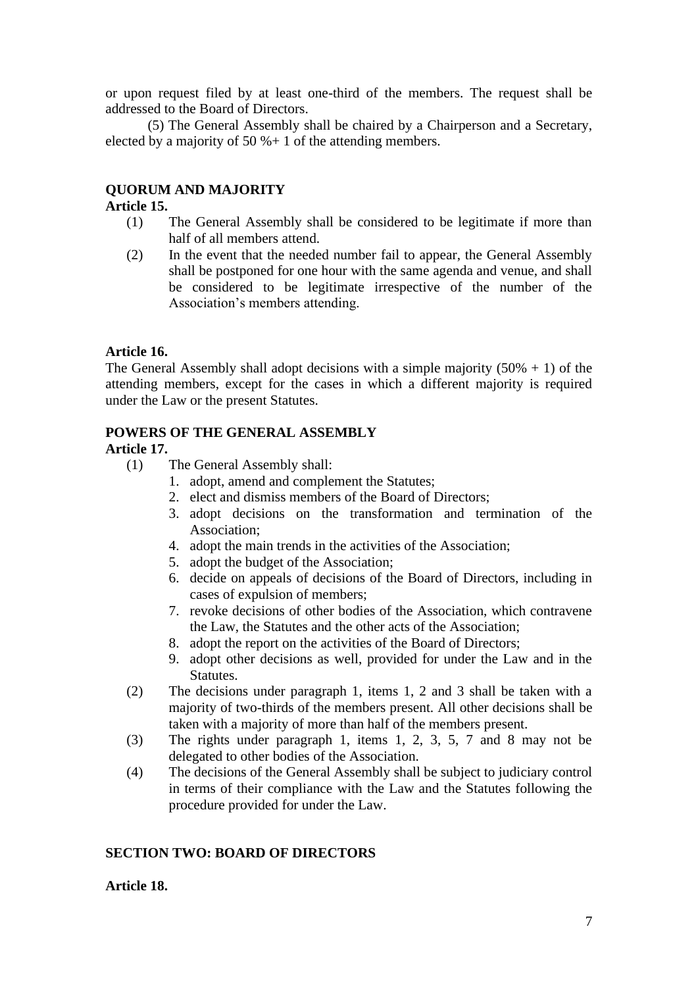or upon request filed by at least one-third of the members. The request shall be addressed to the Board of Directors.

(5) The General Assembly shall be chaired by a Chairperson and a Secretary, elected by a majority of 50 %+ 1 of the attending members.

## **QUORUM AND MAJORITY**

### **Article 15.**

- (1) The General Assembly shall be considered to be legitimate if more than half of all members attend.
- (2) In the event that the needed number fail to appear, the General Assembly shall be postponed for one hour with the same agenda and venue, and shall be considered to be legitimate irrespective of the number of the Association's members attending.

### **Article 16.**

The General Assembly shall adopt decisions with a simple majority  $(50\% + 1)$  of the attending members, except for the cases in which a different majority is required under the Law or the present Statutes.

## **POWERS OF THE GENERAL ASSEMBLY**

## **Article 17.**

- (1) The General Assembly shall:
	- 1. adopt, amend and complement the Statutes;
	- 2. elect and dismiss members of the Board of Directors;
	- 3. adopt decisions on the transformation and termination of the Association;
	- 4. adopt the main trends in the activities of the Association;
	- 5. adopt the budget of the Association;
	- 6. decide on appeals of decisions of the Board of Directors, including in cases of expulsion of members;
	- 7. revoke decisions of other bodies of the Association, which contravene the Law, the Statutes and the other acts of the Association;
	- 8. adopt the report on the activities of the Board of Directors;
	- 9. adopt other decisions as well, provided for under the Law and in the Statutes.
- (2) The decisions under paragraph 1, items 1, 2 and 3 shall be taken with a majority of two-thirds of the members present. All other decisions shall be taken with a majority of more than half of the members present.
- (3) The rights under paragraph 1, items 1, 2, 3, 5, 7 and 8 may not be delegated to other bodies of the Association.
- (4) The decisions of the General Assembly shall be subject to judiciary control in terms of their compliance with the Law and the Statutes following the procedure provided for under the Law.

## **SECTION TWO: BOARD OF DIRECTORS**

#### **Article 18.**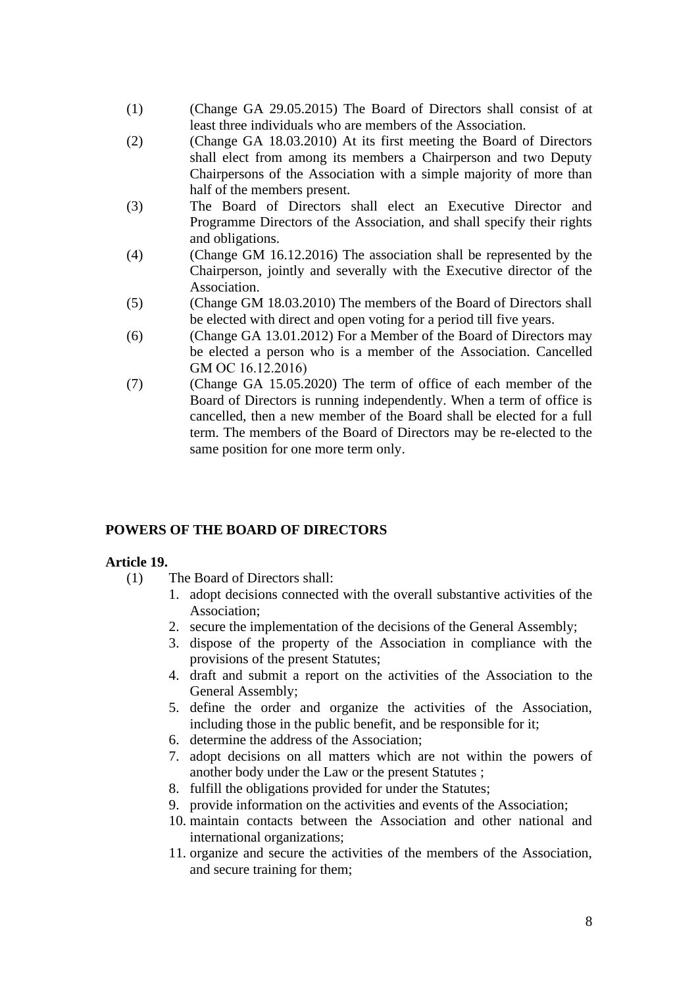- (1) (Change GA 29.05.2015) The Board of Directors shall consist of at least three individuals who are members of the Association.
- (2) (Change GA 18.03.2010) At its first meeting the Board of Directors shall elect from among its members a Chairperson and two Deputy Chairpersons of the Association with a simple majority of more than half of the members present.
- (3) The Board of Directors shall elect an Executive Director and Programme Directors of the Association, and shall specify their rights and obligations.
- (4) (Change GM 16.12.2016) The association shall be represented by the Chairperson, jointly and severally with the Executive director of the Association.
- (5) (Change GM 18.03.2010) The members of the Board of Directors shall be elected with direct and open voting for a period till five years.
- (6) (Change GA 13.01.2012) For a Member of the Board of Directors may be elected a person who is a member of the Association. Cancelled GM OC 16.12.2016)
- (7) (Change GA 15.05.2020) The term of office of each member of the Board of Directors is running independently. When a term of office is cancelled, then a new member of the Board shall be elected for a full term. The members of the Board of Directors may be re-elected to the same position for one more term only.

# **POWERS OF THE BOARD OF DIRECTORS**

## **Article 19.**

- (1) The Board of Directors shall:
	- 1. adopt decisions connected with the overall substantive activities of the Association;
	- 2. secure the implementation of the decisions of the General Assembly;
	- 3. dispose of the property of the Association in compliance with the provisions of the present Statutes;
	- 4. draft and submit a report on the activities of the Association to the General Assembly;
	- 5. define the order and organize the activities of the Association, including those in the public benefit, and be responsible for it;
	- 6. determine the address of the Association;
	- 7. adopt decisions on all matters which are not within the powers of another body under the Law or the present Statutes ;
	- 8. fulfill the obligations provided for under the Statutes;
	- 9. provide information on the activities and events of the Association;
	- 10. maintain contacts between the Association and other national and international organizations;
	- 11. organize and secure the activities of the members of the Association, and secure training for them;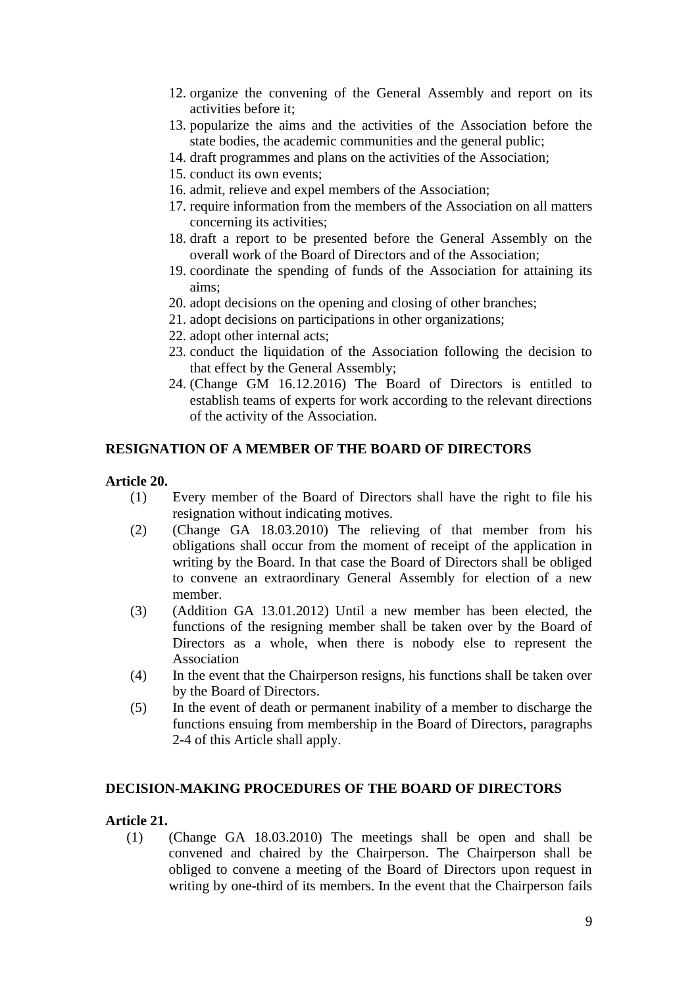- 12. organize the convening of the General Assembly and report on its activities before it;
- 13. popularize the aims and the activities of the Association before the state bodies, the academic communities and the general public;
- 14. draft programmes and plans on the activities of the Association;
- 15. conduct its own events;
- 16. admit, relieve and expel members of the Association;
- 17. require information from the members of the Association on all matters concerning its activities;
- 18. draft a report to be presented before the General Assembly on the overall work of the Board of Directors and of the Association;
- 19. coordinate the spending of funds of the Association for attaining its aims;
- 20. adopt decisions on the opening and closing of other branches;
- 21. adopt decisions on participations in other organizations;
- 22. adopt other internal acts;
- 23. conduct the liquidation of the Association following the decision to that effect by the General Assembly;
- 24. (Change GM 16.12.2016) The Board of Directors is entitled to establish teams of experts for work according to the relevant directions of the activity of the Association.

# **RESIGNATION OF A MEMBER OF THE BOARD OF DIRECTORS**

# **Article 20.**

- (1) Every member of the Board of Directors shall have the right to file his resignation without indicating motives.
- (2) (Change GA 18.03.2010) The relieving of that member from his obligations shall occur from the moment of receipt of the application in writing by the Board. In that case the Board of Directors shall be obliged to convene an extraordinary General Assembly for election of a new member.
- (3) (Addition GA 13.01.2012) Until a new member has been elected, the functions of the resigning member shall be taken over by the Board of Directors as a whole, when there is nobody else to represent the Association
- (4) In the event that the Chairperson resigns, his functions shall be taken over by the Board of Directors.
- (5) In the event of death or permanent inability of a member to discharge the functions ensuing from membership in the Board of Directors, paragraphs 2-4 of this Article shall apply.

# **DECISION-MAKING PROCEDURES OF THE BOARD OF DIRECTORS**

#### **Article 21.**

(1) (Change GA 18.03.2010) The meetings shall be open and shall be convened and chaired by the Chairperson. The Chairperson shall be obliged to convene a meeting of the Board of Directors upon request in writing by one-third of its members. In the event that the Chairperson fails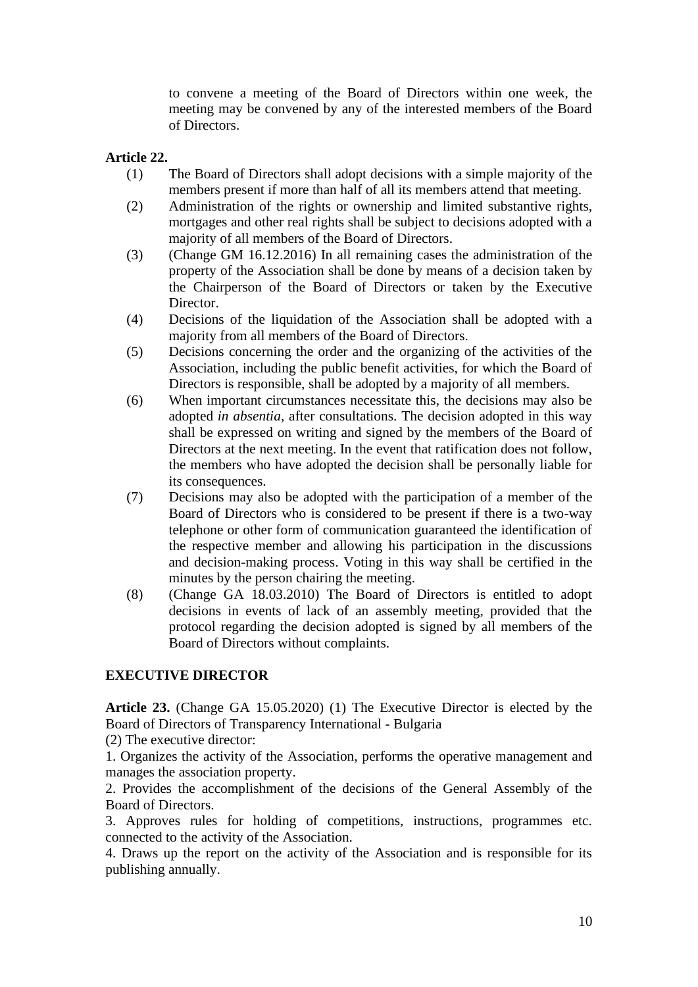to convene a meeting of the Board of Directors within one week, the meeting may be convened by any of the interested members of the Board of Directors.

# **Article 22.**

- (1) The Board of Directors shall adopt decisions with a simple majority of the members present if more than half of all its members attend that meeting.
- (2) Administration of the rights or ownership and limited substantive rights, mortgages and other real rights shall be subject to decisions adopted with a majority of all members of the Board of Directors.
- (3) (Change GM 16.12.2016) In all remaining cases the administration of the property of the Association shall be done by means of a decision taken by the Chairperson of the Board of Directors or taken by the Executive Director.
- (4) Decisions of the liquidation of the Association shall be adopted with a majority from all members of the Board of Directors.
- (5) Decisions concerning the order and the organizing of the activities of the Association, including the public benefit activities, for which the Board of Directors is responsible, shall be adopted by a majority of all members.
- (6) When important circumstances necessitate this, the decisions may also be adopted *in absentia*, after consultations. The decision adopted in this way shall be expressed on writing and signed by the members of the Board of Directors at the next meeting. In the event that ratification does not follow, the members who have adopted the decision shall be personally liable for its consequences.
- (7) Decisions may also be adopted with the participation of a member of the Board of Directors who is considered to be present if there is a two-way telephone or other form of communication guaranteed the identification of the respective member and allowing his participation in the discussions and decision-making process. Voting in this way shall be certified in the minutes by the person chairing the meeting.
- (8) (Change GA 18.03.2010) The Board of Directors is entitled to adopt decisions in events of lack of an assembly meeting, provided that the protocol regarding the decision adopted is signed by all members of the Board of Directors without complaints.

# **EXECUTIVE DIRECTOR**

**Article 23.** (Change GA 15.05.2020) (1) The Executive Director is elected by the Board of Directors of Transparency International - Bulgaria

(2) The executive director:

1. Organizes the activity of the Association, performs the operative management and manages the association property.

2. Provides the accomplishment of the decisions of the General Assembly of the Board of Directors.

3. Approves rules for holding of competitions, instructions, programmes etc. connected to the activity of the Association.

4. Draws up the report on the activity of the Association and is responsible for its publishing annually.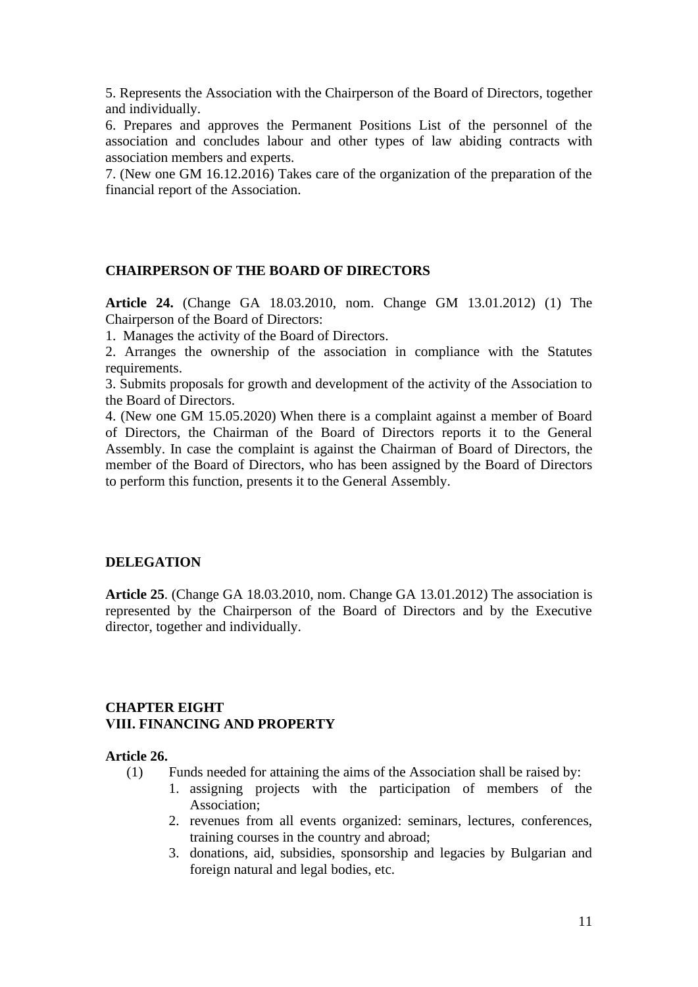5. Represents the Association with the Chairperson of the Board of Directors, together and individually.

6. Prepares and approves the Permanent Positions List of the personnel of the association and concludes labour and other types of law abiding contracts with association members and experts.

7. (New one GM 16.12.2016) Takes care of the organization of the preparation of the financial report of the Association.

#### **CHAIRPERSON OF THE BOARD OF DIRECTORS**

**Article 24.** (Change GA 18.03.2010, nom. Change GM 13.01.2012) (1) The Chairperson of the Board of Directors:

1. Manages the activity of the Board of Directors.

2. Arranges the ownership of the association in compliance with the Statutes requirements.

3. Submits proposals for growth and development of the activity of the Association to the Board of Directors.

4. (New one GM 15.05.2020) When there is a complaint against a member of Board of Directors, the Chairman of the Board of Directors reports it to the General Assembly. In case the complaint is against the Chairman of Board of Directors, the member of the Board of Directors, who has been assigned by the Board of Directors to perform this function, presents it to the General Assembly.

## **DELEGATION**

**Article 25**. (Change GA 18.03.2010, nom. Change GA 13.01.2012) The association is represented by the Chairperson of the Board of Directors and by the Executive director, together and individually.

#### **CHAPTER EIGHT VІІІ. FINANCING AND PROPERTY**

#### **Article 26.**

- (1) Funds needed for attaining the aims of the Association shall be raised by:
	- 1. assigning projects with the participation of members of the Association;
	- 2. revenues from all events organized: seminars, lectures, conferences, training courses in the country and abroad;
	- 3. donations, aid, subsidies, sponsorship and legacies by Bulgarian and foreign natural and legal bodies, etc.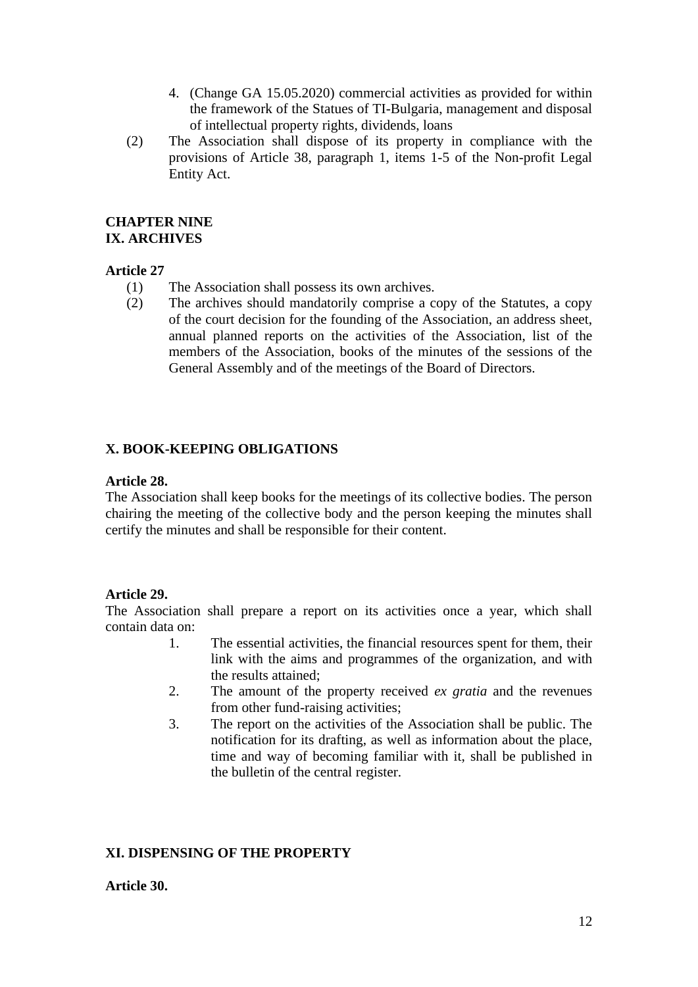- 4. (Change GA 15.05.2020) commercial activities as provided for within the framework of the Statues of TI-Bulgaria, management and disposal of intellectual property rights, dividends, loans
- (2) The Association shall dispose of its property in compliance with the provisions of Article 38, paragraph 1, items 1-5 of the Non-profit Legal Entity Act.

# **CHAPTER NINE ІX. ARCHIVES**

# **Article 27**

- (1) The Association shall possess its own archives.
- (2) The archives should mandatorily comprise a copy of the Statutes, a copy of the court decision for the founding of the Association, an address sheet, annual planned reports on the activities of the Association, list of the members of the Association, books of the minutes of the sessions of the General Assembly and of the meetings of the Board of Directors.

# **X. BOOK-KEEPING OBLIGATIONS**

# **Article 28.**

The Association shall keep books for the meetings of its collective bodies. The person chairing the meeting of the collective body and the person keeping the minutes shall certify the minutes and shall be responsible for their content.

# **Article 29.**

The Association shall prepare a report on its activities once a year, which shall contain data on:

- 1. The essential activities, the financial resources spent for them, their link with the aims and programmes of the organization, and with the results attained;
- 2. The amount of the property received *ex gratia* and the revenues from other fund-raising activities;
- 3. The report on the activities of the Association shall be public. The notification for its drafting, as well as information about the place, time and way of becoming familiar with it, shall be published in the bulletin of the central register.

# **XІ. DISPENSING OF THE PROPERTY**

# **Article 30.**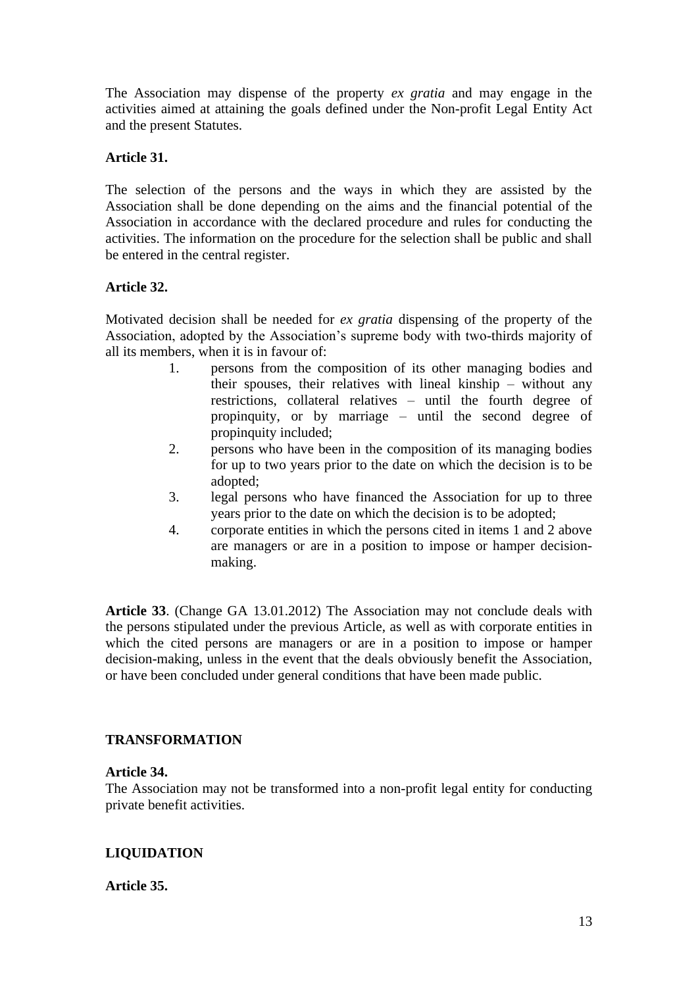The Association may dispense of the property *ex gratia* and may engage in the activities aimed at attaining the goals defined under the Non-profit Legal Entity Act and the present Statutes.

# **Article 31.**

The selection of the persons and the ways in which they are assisted by the Association shall be done depending on the aims and the financial potential of the Association in accordance with the declared procedure and rules for conducting the activities. The information on the procedure for the selection shall be public and shall be entered in the central register.

# **Article 32.**

Motivated decision shall be needed for *ex gratia* dispensing of the property of the Association, adopted by the Association's supreme body with two-thirds majority of all its members, when it is in favour of:

- 1. persons from the composition of its other managing bodies and their spouses, their relatives with lineal kinship – without any restrictions, collateral relatives – until the fourth degree of propinquity, or by marriage – until the second degree of propinquity included;
- 2. persons who have been in the composition of its managing bodies for up to two years prior to the date on which the decision is to be adopted;
- 3. legal persons who have financed the Association for up to three years prior to the date on which the decision is to be adopted;
- 4. corporate entities in which the persons cited in items 1 and 2 above are managers or are in a position to impose or hamper decisionmaking.

**Article 33**. (Change GA 13.01.2012) The Association may not conclude deals with the persons stipulated under the previous Article, as well as with corporate entities in which the cited persons are managers or are in a position to impose or hamper decision-making, unless in the event that the deals obviously benefit the Association, or have been concluded under general conditions that have been made public.

## **TRANSFORMATION**

## **Article 34.**

The Association may not be transformed into a non-profit legal entity for conducting private benefit activities.

# **LIQUIDATION**

## **Article 35.**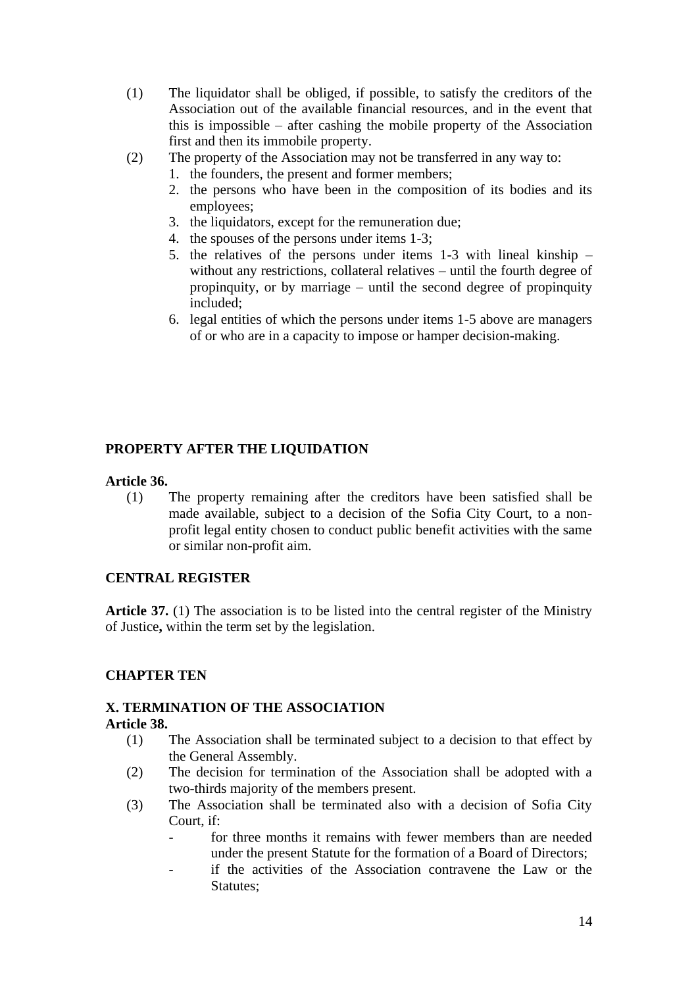- (1) The liquidator shall be obliged, if possible, to satisfy the creditors of the Association out of the available financial resources, and in the event that this is impossible – after cashing the mobile property of the Association first and then its immobile property.
- (2) The property of the Association may not be transferred in any way to:
	- 1. the founders, the present and former members;
	- 2. the persons who have been in the composition of its bodies and its employees;
	- 3. the liquidators, except for the remuneration due;
	- 4. the spouses of the persons under items 1-3;
	- 5. the relatives of the persons under items 1-3 with lineal kinship without any restrictions, collateral relatives – until the fourth degree of propinquity, or by marriage – until the second degree of propinquity included;
	- 6. legal entities of which the persons under items 1-5 above are managers of or who are in a capacity to impose or hamper decision-making.

# **PROPERTY AFTER THE LIQUIDATION**

## **Article 36.**

(1) The property remaining after the creditors have been satisfied shall be made available, subject to a decision of the Sofia City Court, to a nonprofit legal entity chosen to conduct public benefit activities with the same or similar non-profit aim.

## **CENTRAL REGISTER**

**Article 37.** (1) The association is to be listed into the central register of the Ministry of Justice**,** within the term set by the legislation.

## **CHAPTER TEN**

# **X. TERMINATION OF THE ASSOCIATION**

# **Article 38.**

- (1) The Association shall be terminated subject to a decision to that effect by the General Assembly.
- (2) The decision for termination of the Association shall be adopted with a two-thirds majority of the members present.
- (3) The Association shall be terminated also with a decision of Sofia City Court, if:
	- for three months it remains with fewer members than are needed under the present Statute for the formation of a Board of Directors;
	- if the activities of the Association contravene the Law or the Statutes;